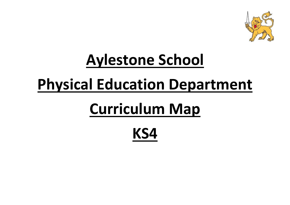

# **Aylestone School**

## **Physical Education Department**

# **Curriculum Map**

### **KS4**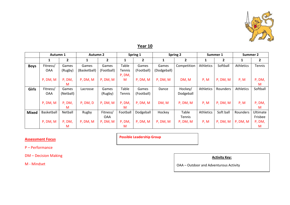

### **Year 10**

|              | Autumn 1   |              | <b>Autumn 2</b> |                | Spring 1      |                | <b>Spring 2</b> |               | Summer 1         |              | Summer 2  |                |
|--------------|------------|--------------|-----------------|----------------|---------------|----------------|-----------------|---------------|------------------|--------------|-----------|----------------|
|              |            | $\mathbf{2}$ |                 | $\overline{2}$ | 1             | $\overline{2}$ |                 | 2             |                  | $\mathbf{2}$ |           | $\overline{2}$ |
| <b>Boys</b>  | Fitness/   | Games        | Games           | Games          | Table         | Games          | Games           | Competition   | <b>Athletics</b> | Softball     | Athletics | Tennis         |
|              | <b>OAA</b> | (Rugby)      | (Basketball)    | (Football)     | Tennis        | (Football)     | (Dodgeball)     |               |                  |              |           |                |
|              |            |              |                 |                | P, DM,        |                |                 |               |                  |              |           |                |
|              | P, DM, M   | P, DM,       | P, DM, M        | P, DM, M       | M             | P, DM, M       | P, DM, M        | DM, M         | P, M             | P, DM, M     | P, M      | P, DM,         |
|              |            | M            |                 |                |               |                |                 |               |                  |              |           | M              |
| Girls        | Fitness/   | Games        | Lacrosse        | Games          | Table         | Games          | Dance           | Hockey/       | Athletics        | Rounders     | Athletics | Softball       |
|              | <b>OAA</b> | (Netball)    |                 | (Rugby)        | <b>Tennis</b> | (Football)     |                 | Dodgeball     |                  |              |           |                |
|              |            |              |                 |                |               |                |                 |               |                  |              |           |                |
|              | P, DM, M   | P, DM,       | P, DM, D        | P, DM, M       | P, DM,        | P, DM, M       | DM, M           | P, DM, M      | P, M             | P, DM, M     | P, M      | P, DM,         |
|              |            | M            |                 |                | M             |                |                 |               |                  |              |           | M              |
| <b>Mixed</b> | Basketball | Netball      | Rugby           | Fitness/       | Football      | Dodgeball      | Hockey          | Table         | Athletics        | Soft ball    | Rounders  | Ultimate       |
|              |            |              |                 | <b>OAA</b>     |               |                |                 | <b>Tennis</b> |                  |              |           | Frisbee        |
|              | P, DM, M   | P, DM,       | P, DM, M        | P, DM, M       | P, DM,        | P, DM, M       | P, DM, M        | P, DM, M      | P, M             | P, DM, M     | P, DM, M  | P, DM,         |
|              |            | м            |                 |                | M             |                |                 |               |                  |              |           | M              |

#### **Assessment Focus**

**Possible Leadership Group**

P – Performance

DM – Decision Making

M - Mindset

**Activity Key:**

OAA – Outdoor and Adventurous Activity